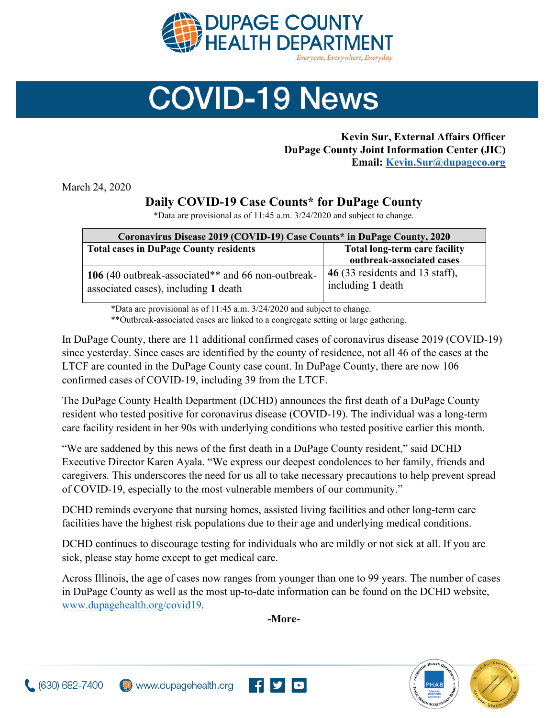

## **COVID-19 News**

## **Kevin Sur, External Affairs Officer DuPage County Joint Information Center (JIC) Email: [Kevin.Sur@dupageco.org](mailto:Kevin.Sur@dupageco.org)**

March 24, 2020

## **Daily COVID-19 Case Counts\* for DuPage County**

\*Data are provisional as of 11:45 a.m. 3/24/2020 and subject to change.

| Coronavirus Disease 2019 (COVID-19) Case Counts* in DuPage County, 2020                    |                                                                   |
|--------------------------------------------------------------------------------------------|-------------------------------------------------------------------|
| <b>Total cases in DuPage County residents</b>                                              | <b>Total long-term care facility</b><br>outbreak-associated cases |
| 106 (40 outbreak-associated** and 66 non-outbreak-<br>associated cases), including 1 death | 46 (33 residents and 13 staff),<br>including 1 death              |

\*Data are provisional as of 11:45 a.m. 3/24/2020 and subject to change.

\*\*Outbreak-associated cases are linked to a congregate setting or large gathering.

In DuPage County, there are 11 additional confirmed cases of coronavirus disease 2019 (COVID-19) since yesterday. Since cases are identified by the county of residence, not all 46 of the cases at the LTCF are counted in the DuPage County case count. In DuPage County, there are now 106 confirmed cases of COVID-19, including 39 from the LTCF.

The DuPage County Health Department (DCHD) announces the first death of a DuPage County resident who tested positive for coronavirus disease (COVID-19). The individual was a long-term care facility resident in her 90s with underlying conditions who tested positive earlier this month.

"We are saddened by this news of the first death in a DuPage County resident," said DCHD Executive Director Karen Ayala. "We express our deepest condolences to her family, friends and caregivers. This underscores the need for us all to take necessary precautions to help prevent spread of COVID-19, especially to the most vulnerable members of our community."

DCHD reminds everyone that nursing homes, assisted living facilities and other long-term care facilities have the highest risk populations due to their age and underlying medical conditions.

DCHD continues to discourage testing for individuals who are mildly or not sick at all. If you are sick, please stay home except to get medical care.

Across Illinois, the age of cases now ranges from younger than one to 99 years. The number of cases in DuPage County as well as the most up-to-date information can be found on the DCHD website, [www.dupagehealth.org/covid19.](http://www.dupagehealth.org/covid19)

**-More-**